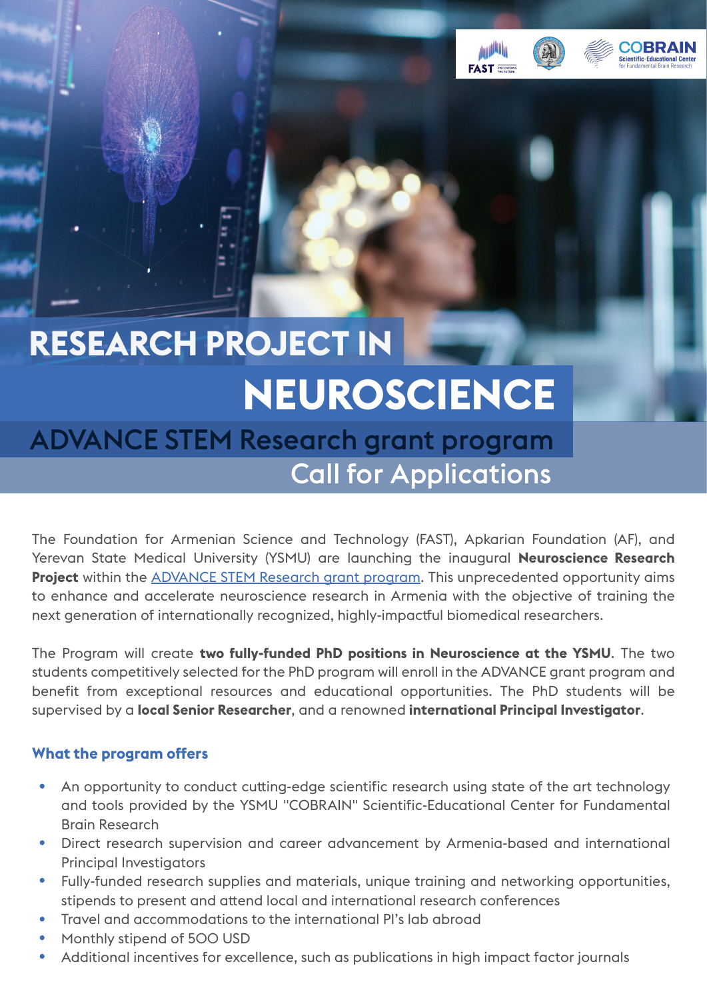



## **RESEARCH PROJECT IN NEUROSCIENCE**

### Call for Applications ADVANCE STEM Research grant program

The Foundation for Armenian Science and Technology (FAST), Apkarian Foundation (AF), and Yerevan State Medical University (YSMU) are launching the inaugural **Neuroscience Research Project** within the **ADVANCE STEM Research grant program**. This unprecedented opportunity aims to enhance and accelerate neuroscience research in Armenia with the objective of training the next generation of internationally recognized, highly-impactful biomedical researchers.

The Program will create **two fully-funded PhD positions in Neuroscience at the YSMU**. The two students competitively selected for the PhD program will enroll in the ADVANCE grant program and benefit from exceptional resources and educational opportunities. The PhD students will be supervised by a **local Senior Researcher**, and a renowned **international Principal Investigator**.

### **What the program offers**

- An opportunity to conduct cutting-edge scientific research using state of the art technology and tools provided by the YSMU "COBRAIN" Scientific-Educational Center for Fundamental Brain Research
- Direct research supervision and career advancement by Armenia-based and international Principal Investigators
- Fully-funded research supplies and materials, unique training and networking opportunities, stipends to present and attend local and international research conferences
- Travel and accommodations to the international PI's lab abroad
- Monthly stipend of 500 USD
- Additional incentives for excellence, such as publications in high impact factor journals